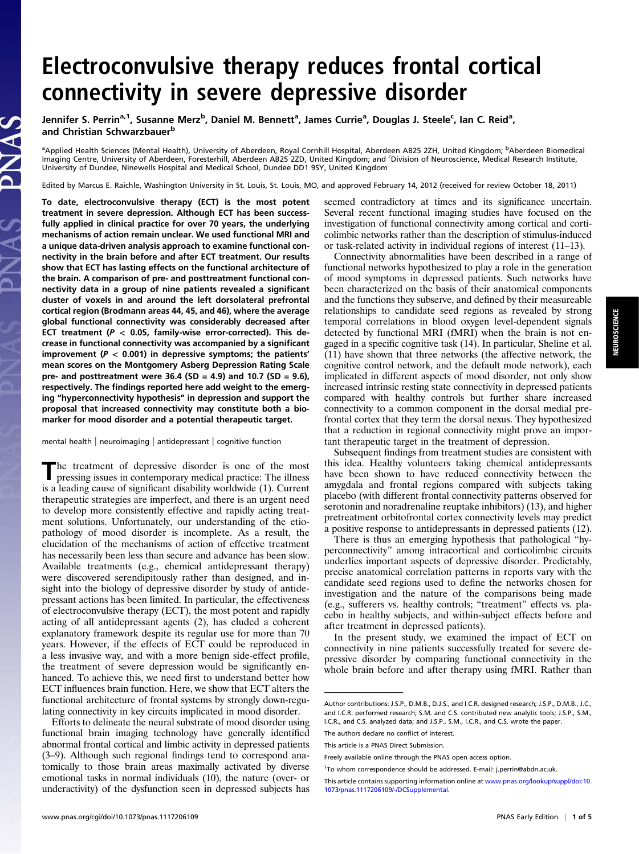# Electroconvulsive therapy reduces frontal cortical connectivity in severe depressive disorder

Jennifer S. Perrin<sup>a, 1</sup>, Susanne Merz<sup>b</sup>, Daniel M. Bennett<sup>a</sup>, James Currie<sup>a</sup>, Douglas J. Steele<sup>c</sup>, Ian C. Reid<sup>a</sup>, and Christian Schwarzbauer<sup>b</sup>

a<br>Applied Health Sciences (Mental Health), University of Aberdeen, Royal Cornhill Hospital, Aberdeen AB25 2ZH, United Kingdom; <sup>b</sup>Aberdeen Biomedical Imaging Centre, University of Aberdeen, Foresterhill, Aberdeen AB25 2ZD, United Kingdom; and <sup>c</sup> Division of Neuroscience, Medical Research Institute, University of Dundee, Ninewells Hospital and Medical School, Dundee DD1 9SY, United Kingdom

Edited by Marcus E. Raichle, Washington University in St. Louis, St. Louis, MO, and approved February 14, 2012 (received for review October 18, 2011)

To date, electroconvulsive therapy (ECT) is the most potent treatment in severe depression. Although ECT has been successfully applied in clinical practice for over 70 years, the underlying mechanisms of action remain unclear. We used functional MRI and a unique data-driven analysis approach to examine functional connectivity in the brain before and after ECT treatment. Our results show that ECT has lasting effects on the functional architecture of the brain. A comparison of pre- and posttreatment functional connectivity data in a group of nine patients revealed a significant cluster of voxels in and around the left dorsolateral prefrontal cortical region (Brodmann areas 44, 45, and 46), where the average global functional connectivity was considerably decreased after ECT treatment ( $P < 0.05$ , family-wise error-corrected). This decrease in functional connectivity was accompanied by a significant improvement ( $P < 0.001$ ) in depressive symptoms; the patients' mean scores on the Montgomery Asberg Depression Rating Scale pre- and posttreatment were 36.4 (SD = 4.9) and 10.7 (SD = 9.6), respectively. The findings reported here add weight to the emerging "hyperconnectivity hypothesis" in depression and support the proposal that increased connectivity may constitute both a biomarker for mood disorder and a potential therapeutic target.

mental health | neuroimaging | antidepressant | cognitive function

The treatment of depressive disorder is one of the most pressing issues in contemporary medical practice: The illness is a leading cause of significant disability worldwide (1). Current therapeutic strategies are imperfect, and there is an urgent need to develop more consistently effective and rapidly acting treatment solutions. Unfortunately, our understanding of the etiopathology of mood disorder is incomplete. As a result, the elucidation of the mechanisms of action of effective treatment has necessarily been less than secure and advance has been slow. Available treatments (e.g., chemical antidepressant therapy) were discovered serendipitously rather than designed, and insight into the biology of depressive disorder by study of antidepressant actions has been limited. In particular, the effectiveness of electroconvulsive therapy (ECT), the most potent and rapidly acting of all antidepressant agents (2), has eluded a coherent explanatory framework despite its regular use for more than 70 years. However, if the effects of ECT could be reproduced in a less invasive way, and with a more benign side-effect profile, the treatment of severe depression would be significantly enhanced. To achieve this, we need first to understand better how ECT influences brain function. Here, we show that ECT alters the functional architecture of frontal systems by strongly down-regulating connectivity in key circuits implicated in mood disorder.

Efforts to delineate the neural substrate of mood disorder using functional brain imaging technology have generally identified abnormal frontal cortical and limbic activity in depressed patients (3–9). Although such regional findings tend to correspond anatomically to those brain areas maximally activated by diverse emotional tasks in normal individuals (10), the nature (over- or underactivity) of the dysfunction seen in depressed subjects has seemed contradictory at times and its significance uncertain. Several recent functional imaging studies have focused on the investigation of functional connectivity among cortical and corticolimbic networks rather than the description of stimulus-induced or task-related activity in individual regions of interest (11–13).

Connectivity abnormalities have been described in a range of functional networks hypothesized to play a role in the generation of mood symptoms in depressed patients. Such networks have been characterized on the basis of their anatomical components and the functions they subserve, and defined by their measureable relationships to candidate seed regions as revealed by strong temporal correlations in blood oxygen level-dependent signals detected by functional MRI (fMRI) when the brain is not engaged in a specific cognitive task (14). In particular, Sheline et al. (11) have shown that three networks (the affective network, the cognitive control network, and the default mode network), each implicated in different aspects of mood disorder, not only show increased intrinsic resting state connectivity in depressed patients compared with healthy controls but further share increased connectivity to a common component in the dorsal medial prefrontal cortex that they term the dorsal nexus. They hypothesized that a reduction in regional connectivity might prove an important therapeutic target in the treatment of depression.

Subsequent findings from treatment studies are consistent with this idea. Healthy volunteers taking chemical antidepressants have been shown to have reduced connectivity between the amygdala and frontal regions compared with subjects taking placebo (with different frontal connectivity patterns observed for serotonin and noradrenaline reuptake inhibitors) (13), and higher pretreatment orbitofrontal cortex connectivity levels may predict a positive response to antidepressants in depressed patients (12).

There is thus an emerging hypothesis that pathological "hyperconnectivity" among intracortical and corticolimbic circuits underlies important aspects of depressive disorder. Predictably, precise anatomical correlation patterns in reports vary with the candidate seed regions used to define the networks chosen for investigation and the nature of the comparisons being made (e.g., sufferers vs. healthy controls; "treatment" effects vs. placebo in healthy subjects, and within-subject effects before and after treatment in depressed patients).

In the present study, we examined the impact of ECT on connectivity in nine patients successfully treated for severe depressive disorder by comparing functional connectivity in the whole brain before and after therapy using fMRI. Rather than

Author contributions: J.S.P., D.M.B., D.J.S., and I.C.R. designed research; J.S.P., D.M.B., J.C., and I.C.R. performed research; S.M. and C.S. contributed new analytic tools; J.S.P., S.M., I.C.R., and C.S. analyzed data; and J.S.P., S.M., I.C.R., and C.S. wrote the paper.

The authors declare no conflict of interest.

This article is a PNAS Direct Submission.

Freely available online through the PNAS open access option.

<sup>&</sup>lt;sup>1</sup>To whom correspondence should be addressed. E-mail: [j.perrin@abdn.ac.uk](mailto:j.perrin@abdn.ac.uk).

This article contains supporting information online at [www.pnas.org/lookup/suppl/doi:10.](http://www.pnas.org/lookup/suppl/doi:10.1073/pnas.1117206109/-/DCSupplemental) [1073/pnas.1117206109/-/DCSupplemental](http://www.pnas.org/lookup/suppl/doi:10.1073/pnas.1117206109/-/DCSupplemental).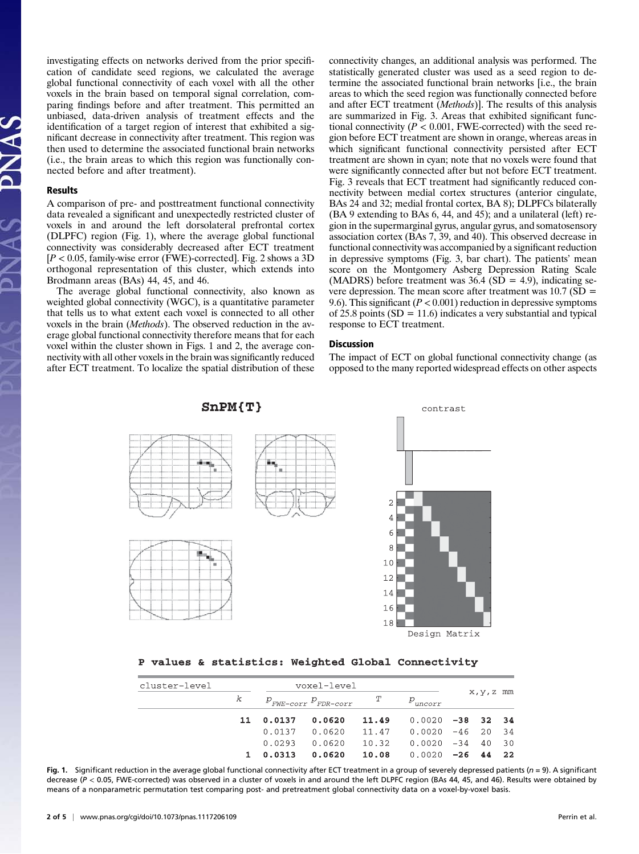investigating effects on networks derived from the prior specification of candidate seed regions, we calculated the average global functional connectivity of each voxel with all the other voxels in the brain based on temporal signal correlation, comparing findings before and after treatment. This permitted an unbiased, data-driven analysis of treatment effects and the identification of a target region of interest that exhibited a significant decrease in connectivity after treatment. This region was then used to determine the associated functional brain networks (i.e., the brain areas to which this region was functionally connected before and after treatment).

#### Results

A comparison of pre- and posttreatment functional connectivity data revealed a significant and unexpectedly restricted cluster of voxels in and around the left dorsolateral prefrontal cortex (DLPFC) region (Fig. 1), where the average global functional connectivity was considerably decreased after ECT treatment  $[P < 0.05$ , family-wise error (FWE)-corrected]. Fig. 2 shows a 3D orthogonal representation of this cluster, which extends into Brodmann areas (BAs) 44, 45, and 46.

The average global functional connectivity, also known as weighted global connectivity (WGC), is a quantitative parameter that tells us to what extent each voxel is connected to all other voxels in the brain (Methods). The observed reduction in the average global functional connectivity therefore means that for each voxel within the cluster shown in Figs. 1 and 2, the average connectivity with all other voxels in the brain was significantly reduced after ECT treatment. To localize the spatial distribution of these

connectivity changes, an additional analysis was performed. The statistically generated cluster was used as a seed region to determine the associated functional brain networks [i.e., the brain areas to which the seed region was functionally connected before and after ECT treatment (Methods)]. The results of this analysis are summarized in Fig. 3. Areas that exhibited significant functional connectivity ( $P < 0.001$ , FWE-corrected) with the seed region before ECT treatment are shown in orange, whereas areas in which significant functional connectivity persisted after ECT treatment are shown in cyan; note that no voxels were found that were significantly connected after but not before ECT treatment. Fig. 3 reveals that ECT treatment had significantly reduced connectivity between medial cortex structures (anterior cingulate, BAs 24 and 32; medial frontal cortex, BA 8); DLPFCs bilaterally (BA 9 extending to BAs 6, 44, and 45); and a unilateral (left) region in the supermarginal gyrus, angular gyrus, and somatosensory association cortex (BAs 7, 39, and 40). This observed decrease in functional connectivity was accompanied by a significant reduction in depressive symptoms (Fig. 3, bar chart). The patients' mean score on the Montgomery Asberg Depression Rating Scale (MADRS) before treatment was  $36.4$  (SD = 4.9), indicating severe depression. The mean score after treatment was  $10.7$  (SD = 9.6). This significant ( $P < 0.001$ ) reduction in depressive symptoms of 25.8 points  $(SD = 11.6)$  indicates a very substantial and typical response to ECT treatment.

#### Discussion

The impact of ECT on global functional connectivity change (as opposed to the many reported widespread effects on other aspects



## P values & statistics: Weighted Global Connectivity

| cluster-level | voxel-level |           |                                             |       |                                |            |       |     |
|---------------|-------------|-----------|---------------------------------------------|-------|--------------------------------|------------|-------|-----|
|               | k           |           | $P_{\text{FWE-corr}} P_{\text{FDR-corr}}$ T |       | $P_{uncorr}$                   | x, y, z mm |       |     |
|               |             | 11 0.0137 | 0.0620                                      | 11.49 | $0.0020 -38$ 32 34             |            |       |     |
|               |             | 0.0137    | 0.0620                                      |       | 11.47   0.0020   -46   20   34 |            |       |     |
|               |             | 0.0293    | 0.0620                                      | 10.32 | 0.0020 -34                     |            | 40 30 |     |
|               |             | 0.0313    | 0.0620                                      | 10.08 | 0.0020                         | $-26$      | 44    | 2.2 |

Fig. 1. Significant reduction in the average global functional connectivity after ECT treatment in a group of severely depressed patients ( $n = 9$ ). A significant decrease (P < 0.05, FWE-corrected) was observed in a cluster of voxels in and around the left DLPFC region (BAs 44, 45, and 46). Results were obtained by means of a nonparametric permutation test comparing post- and pretreatment global connectivity data on a voxel-by-voxel basis.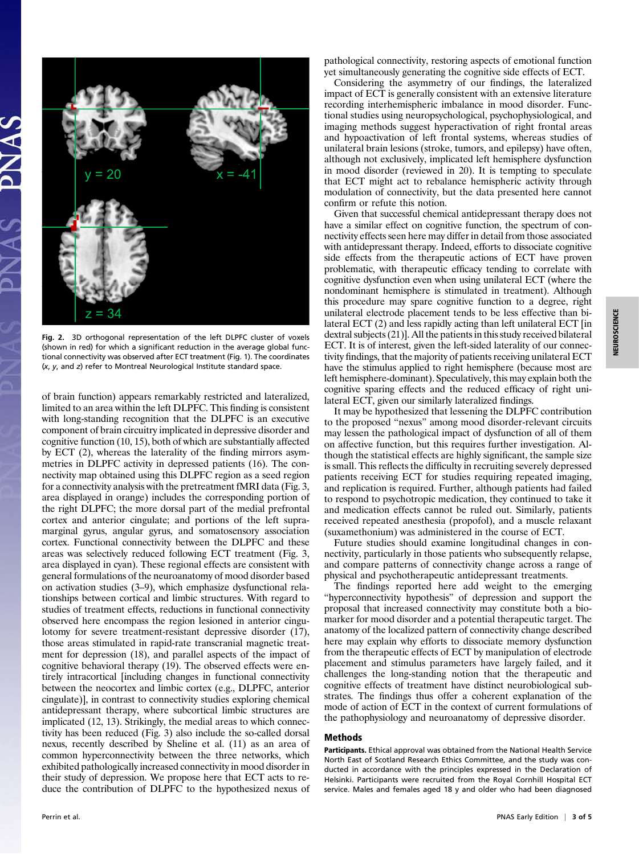

Fig. 2. 3D orthogonal representation of the left DLPFC cluster of voxels (shown in red) for which a significant reduction in the average global functional connectivity was observed after ECT treatment (Fig. 1). The coordinates (x, y, and z) refer to Montreal Neurological Institute standard space.

of brain function) appears remarkably restricted and lateralized, limited to an area within the left DLPFC. This finding is consistent with long-standing recognition that the DLPFC is an executive component of brain circuitry implicated in depressive disorder and cognitive function (10, 15), both of which are substantially affected by ECT (2), whereas the laterality of the finding mirrors asymmetries in DLPFC activity in depressed patients (16). The connectivity map obtained using this DLPFC region as a seed region for a connectivity analysis with the pretreatment fMRI data (Fig. 3, area displayed in orange) includes the corresponding portion of the right DLPFC; the more dorsal part of the medial prefrontal cortex and anterior cingulate; and portions of the left supramarginal gyrus, angular gyrus, and somatosensory association cortex. Functional connectivity between the DLPFC and these areas was selectively reduced following ECT treatment (Fig. 3, area displayed in cyan). These regional effects are consistent with general formulations of the neuroanatomy of mood disorder based on activation studies (3–9), which emphasize dysfunctional relationships between cortical and limbic structures. With regard to studies of treatment effects, reductions in functional connectivity observed here encompass the region lesioned in anterior cingulotomy for severe treatment-resistant depressive disorder (17), those areas stimulated in rapid-rate transcranial magnetic treatment for depression (18), and parallel aspects of the impact of cognitive behavioral therapy (19). The observed effects were entirely intracortical [including changes in functional connectivity between the neocortex and limbic cortex (e.g., DLPFC, anterior cingulate)], in contrast to connectivity studies exploring chemical antidepressant therapy, where subcortical limbic structures are implicated (12, 13). Strikingly, the medial areas to which connectivity has been reduced (Fig. 3) also include the so-called dorsal nexus, recently described by Sheline et al. (11) as an area of common hyperconnectivity between the three networks, which exhibited pathologically increased connectivity in mood disorder in their study of depression. We propose here that ECT acts to reduce the contribution of DLPFC to the hypothesized nexus of pathological connectivity, restoring aspects of emotional function yet simultaneously generating the cognitive side effects of ECT.

Considering the asymmetry of our findings, the lateralized impact of ECT is generally consistent with an extensive literature recording interhemispheric imbalance in mood disorder. Functional studies using neuropsychological, psychophysiological, and imaging methods suggest hyperactivation of right frontal areas and hypoactivation of left frontal systems, whereas studies of unilateral brain lesions (stroke, tumors, and epilepsy) have often, although not exclusively, implicated left hemisphere dysfunction in mood disorder (reviewed in 20). It is tempting to speculate that ECT might act to rebalance hemispheric activity through modulation of connectivity, but the data presented here cannot confirm or refute this notion.

Given that successful chemical antidepressant therapy does not have a similar effect on cognitive function, the spectrum of connectivity effects seen here may differ in detail from those associated with antidepressant therapy. Indeed, efforts to dissociate cognitive side effects from the therapeutic actions of ECT have proven problematic, with therapeutic efficacy tending to correlate with cognitive dysfunction even when using unilateral ECT (where the nondominant hemisphere is stimulated in treatment). Although this procedure may spare cognitive function to a degree, right unilateral electrode placement tends to be less effective than bilateral ECT (2) and less rapidly acting than left unilateral ECT [in dextral subjects (21)]. All the patients in this study received bilateral ECT. It is of interest, given the left-sided laterality of our connectivity findings, that the majority of patients receiving unilateral ECT have the stimulus applied to right hemisphere (because most are left hemisphere-dominant). Speculatively, this may explain both the cognitive sparing effects and the reduced efficacy of right unilateral ECT, given our similarly lateralized findings.

It may be hypothesized that lessening the DLPFC contribution to the proposed "nexus" among mood disorder-relevant circuits may lessen the pathological impact of dysfunction of all of them on affective function, but this requires further investigation. Although the statistical effects are highly significant, the sample size is small. This reflects the difficulty in recruiting severely depressed patients receiving ECT for studies requiring repeated imaging, and replication is required. Further, although patients had failed to respond to psychotropic medication, they continued to take it and medication effects cannot be ruled out. Similarly, patients received repeated anesthesia (propofol), and a muscle relaxant (suxamethonium) was administered in the course of ECT.

Future studies should examine longitudinal changes in connectivity, particularly in those patients who subsequently relapse, and compare patterns of connectivity change across a range of physical and psychotherapeutic antidepressant treatments.

The findings reported here add weight to the emerging "hyperconnectivity hypothesis" of depression and support the proposal that increased connectivity may constitute both a biomarker for mood disorder and a potential therapeutic target. The anatomy of the localized pattern of connectivity change described here may explain why efforts to dissociate memory dysfunction from the therapeutic effects of ECT by manipulation of electrode placement and stimulus parameters have largely failed, and it challenges the long-standing notion that the therapeutic and cognitive effects of treatment have distinct neurobiological substrates. The findings thus offer a coherent explanation of the mode of action of ECT in the context of current formulations of the pathophysiology and neuroanatomy of depressive disorder.

### Methods

Participants. Ethical approval was obtained from the National Health Service North East of Scotland Research Ethics Committee, and the study was conducted in accordance with the principles expressed in the Declaration of Helsinki. Participants were recruited from the Royal Cornhill Hospital ECT service. Males and females aged 18 y and older who had been diagnosed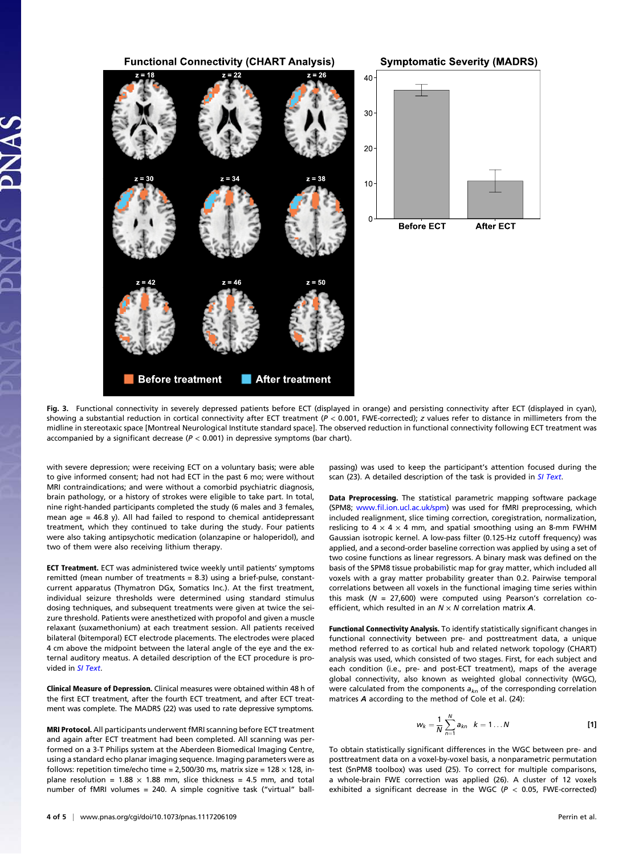

Fig. 3. Functional connectivity in severely depressed patients before ECT (displayed in orange) and persisting connectivity after ECT (displayed in cyan), showing a substantial reduction in cortical connectivity after ECT treatment  $(P < 0.001$ , FWE-corrected); z values refer to distance in millimeters from the midline in stereotaxic space [Montreal Neurological Institute standard space]. The observed reduction in functional connectivity following ECT treatment was accompanied by a significant decrease ( $P < 0.001$ ) in depressive symptoms (bar chart).

with severe depression; were receiving ECT on a voluntary basis; were able to give informed consent; had not had ECT in the past 6 mo; were without MRI contraindications; and were without a comorbid psychiatric diagnosis, brain pathology, or a history of strokes were eligible to take part. In total, nine right-handed participants completed the study (6 males and 3 females, mean age = 46.8 y). All had failed to respond to chemical antidepressant treatment, which they continued to take during the study. Four patients were also taking antipsychotic medication (olanzapine or haloperidol), and two of them were also receiving lithium therapy.

ECT Treatment. ECT was administered twice weekly until patients' symptoms remitted (mean number of treatments = 8.3) using a brief-pulse, constantcurrent apparatus (Thymatron DGx, Somatics Inc.). At the first treatment, individual seizure thresholds were determined using standard stimulus dosing techniques, and subsequent treatments were given at twice the seizure threshold. Patients were anesthetized with propofol and given a muscle relaxant (suxamethonium) at each treatment session. All patients received bilateral (bitemporal) ECT electrode placements. The electrodes were placed 4 cm above the midpoint between the lateral angle of the eye and the external auditory meatus. A detailed description of the ECT procedure is provided in [SI Text](http://www.pnas.org/lookup/suppl/doi:10.1073/pnas.1117206109/-/DCSupplemental/pnas.201117206SI.pdf?targetid=nameddest=STXT).

Clinical Measure of Depression. Clinical measures were obtained within 48 h of the first ECT treatment, after the fourth ECT treatment, and after ECT treatment was complete. The MADRS (22) was used to rate depressive symptoms.

MRI Protocol. All participants underwent fMRI scanning before ECT treatment and again after ECT treatment had been completed. All scanning was performed on a 3-T Philips system at the Aberdeen Biomedical Imaging Centre, using a standard echo planar imaging sequence. Imaging parameters were as follows: repetition time/echo time = 2,500/30 ms, matrix size =  $128 \times 128$ , inplane resolution =  $1.88 \times 1.88$  mm, slice thickness = 4.5 mm, and total number of fMRI volumes = 240. A simple cognitive task ("virtual" ballpassing) was used to keep the participant's attention focused during the scan (23). A detailed description of the task is provided in [SI Text](http://www.pnas.org/lookup/suppl/doi:10.1073/pnas.1117206109/-/DCSupplemental/pnas.201117206SI.pdf?targetid=nameddest=STXT).

Data Preprocessing. The statistical parametric mapping software package (SPM8; www.fi[l.ion.ucl.ac.uk/spm\)](http://www.fil.ion.ucl.ac.uk/spm) was used for fMRI preprocessing, which included realignment, slice timing correction, coregistration, normalization, reslicing to  $4 \times 4 \times 4$  mm, and spatial smoothing using an 8-mm FWHM Gaussian isotropic kernel. A low-pass filter (0.125-Hz cutoff frequency) was applied, and a second-order baseline correction was applied by using a set of two cosine functions as linear regressors. A binary mask was defined on the basis of the SPM8 tissue probabilistic map for gray matter, which included all voxels with a gray matter probability greater than 0.2. Pairwise temporal correlations between all voxels in the functional imaging time series within this mask ( $N = 27,600$ ) were computed using Pearson's correlation coefficient, which resulted in an  $N \times N$  correlation matrix  $A$ .

Functional Connectivity Analysis. To identify statistically significant changes in functional connectivity between pre- and posttreatment data, a unique method referred to as cortical hub and related network topology (CHART) analysis was used, which consisted of two stages. First, for each subject and each condition (i.e., pre- and post-ECT treatment), maps of the average global connectivity, also known as weighted global connectivity (WGC), were calculated from the components  $a_{kn}$  of the corresponding correlation matrices A according to the method of Cole et al. (24):

$$
w_k = \frac{1}{N} \sum_{n=1}^{N} a_{kn} \quad k = 1 ... N
$$
 [1]

To obtain statistically significant differences in the WGC between pre- and posttreatment data on a voxel-by-voxel basis, a nonparametric permutation test (SnPM8 toolbox) was used (25). To correct for multiple comparisons, a whole-brain FWE correction was applied (26). A cluster of 12 voxels exhibited a significant decrease in the WGC ( $P < 0.05$ , FWE-corrected)